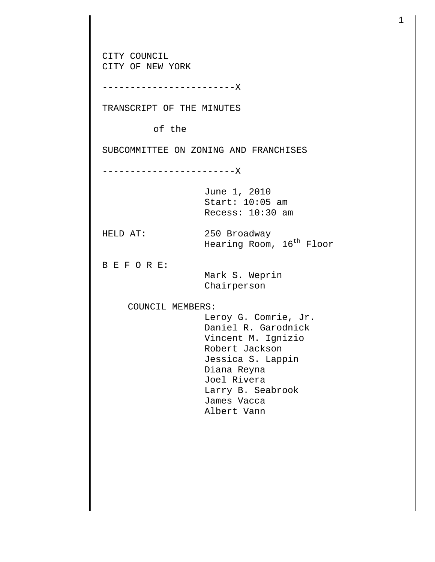CITY COUNCIL CITY OF NEW YORK ------------------------X TRANSCRIPT OF THE MINUTES of the SUBCOMMITTEE ON ZONING AND FRANCHISES ------------------------X June 1, 2010 Start: 10:05 am Recess: 10:30 am HELD AT: 250 Broadway Hearing Room, 16<sup>th</sup> Floor B E F O R E: Mark S. Weprin Chairperson COUNCIL MEMBERS: Leroy G. Comrie, Jr. Daniel R. Garodnick Vincent M. Ignizio Robert Jackson Jessica S. Lappin Diana Reyna Joel Rivera Larry B. Seabrook James Vacca Albert Vann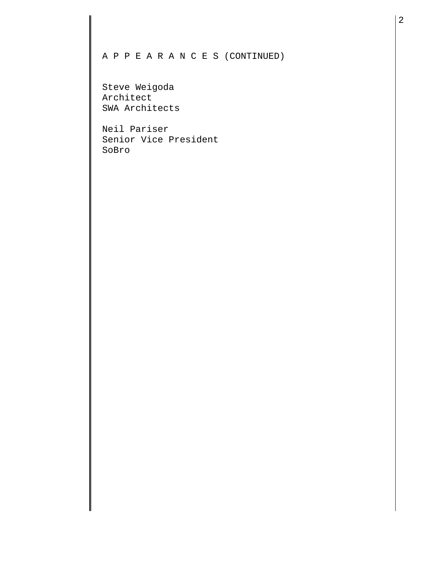## A P P E A R A N C E S (CONTINUED)

Steve Weigoda Architect SWA Architects

Neil Pariser Senior Vice President SoBro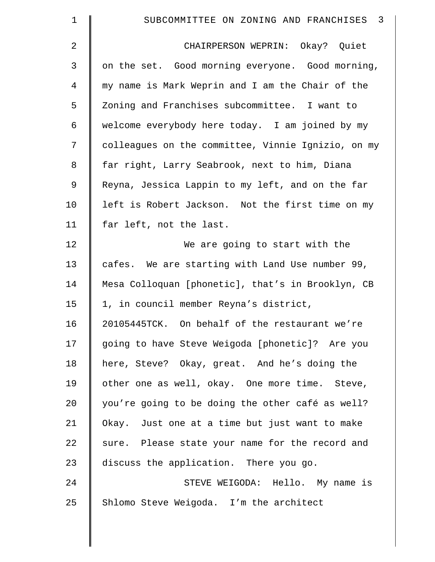| $\mathbf 1$ | $\overline{\mathbf{3}}$<br>SUBCOMMITTEE ON ZONING AND FRANCHISES |
|-------------|------------------------------------------------------------------|
| 2           | CHAIRPERSON WEPRIN: Okay? Quiet                                  |
| 3           | on the set. Good morning everyone. Good morning,                 |
| 4           | my name is Mark Weprin and I am the Chair of the                 |
| 5           | Zoning and Franchises subcommittee. I want to                    |
| 6           | welcome everybody here today. I am joined by my                  |
| 7           | colleagues on the committee, Vinnie Ignizio, on my               |
| 8           | far right, Larry Seabrook, next to him, Diana                    |
| 9           | Reyna, Jessica Lappin to my left, and on the far                 |
| 10          | left is Robert Jackson. Not the first time on my                 |
| 11          | far left, not the last.                                          |
| 12          | We are going to start with the                                   |
| 13          | cafes. We are starting with Land Use number 99,                  |
| 14          | Mesa Colloquan [phonetic], that's in Brooklyn, CB                |
| 15          | 1, in council member Reyna's district,                           |
| 16          | 20105445TCK. On behalf of the restaurant we're                   |
| 17          | going to have Steve Weigoda [phonetic]? Are you                  |
| 18          | here, Steve? Okay, great. And he's doing the                     |
| 19          | other one as well, okay. One more time. Steve,                   |
| 20          | you're going to be doing the other café as well?                 |
| 21          | Okay. Just one at a time but just want to make                   |
| 22          | sure. Please state your name for the record and                  |
| 23          | discuss the application. There you go.                           |
| 24          | STEVE WEIGODA: Hello. My name is                                 |
| 25          | Shlomo Steve Weigoda. I'm the architect                          |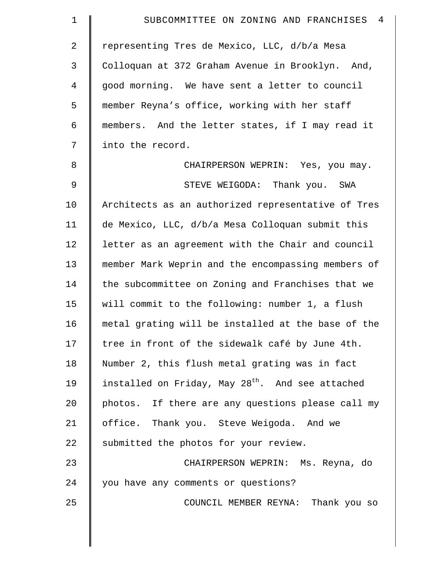| $\mathbf 1$    | $\overline{4}$<br>SUBCOMMITTEE ON ZONING AND FRANCHISES      |
|----------------|--------------------------------------------------------------|
| $\overline{2}$ | representing Tres de Mexico, LLC, d/b/a Mesa                 |
| $\mathfrak{Z}$ | Colloquan at 372 Graham Avenue in Brooklyn. And,             |
| $\overline{4}$ | good morning. We have sent a letter to council               |
| 5              | member Reyna's office, working with her staff                |
| 6              | members. And the letter states, if I may read it             |
| 7              | into the record.                                             |
| 8              | CHAIRPERSON WEPRIN: Yes, you may.                            |
| $\overline{9}$ | STEVE WEIGODA: Thank you. SWA                                |
| 10             | Architects as an authorized representative of Tres           |
| 11             | de Mexico, LLC, d/b/a Mesa Colloquan submit this             |
| 12             | letter as an agreement with the Chair and council            |
| 13             | member Mark Weprin and the encompassing members of           |
| 14             | the subcommittee on Zoning and Franchises that we            |
| 15             | will commit to the following: number 1, a flush              |
| 16             | metal grating will be installed at the base of the           |
| 17             | tree in front of the sidewalk café by June 4th.              |
| 18             | Number 2, this flush metal grating was in fact               |
| 19             | installed on Friday, May 28 <sup>th</sup> . And see attached |
| 20             | photos. If there are any questions please call my            |
| 21             | office. Thank you. Steve Weigoda. And we                     |
| 22             | submitted the photos for your review.                        |
| 23             | CHAIRPERSON WEPRIN: Ms. Reyna, do                            |
| 24             | you have any comments or questions?                          |
| 25             | COUNCIL MEMBER REYNA: Thank you so                           |
|                |                                                              |

 $\parallel$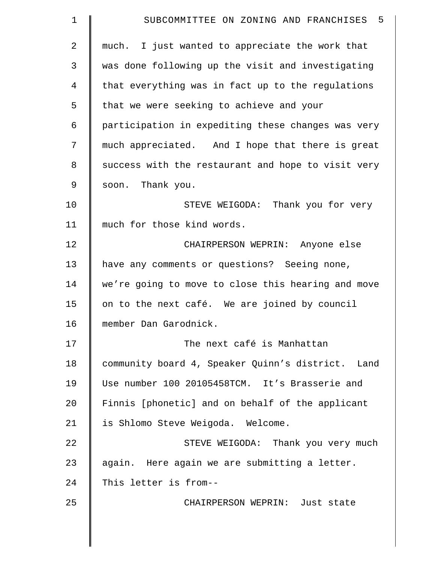| $\mathbf 1$    | SUBCOMMITTEE ON ZONING AND FRANCHISES 5            |
|----------------|----------------------------------------------------|
| $\overline{2}$ | much. I just wanted to appreciate the work that    |
| 3              | was done following up the visit and investigating  |
| 4              | that everything was in fact up to the regulations  |
| 5              | that we were seeking to achieve and your           |
| 6              | participation in expediting these changes was very |
| 7              | much appreciated. And I hope that there is great   |
| 8              | success with the restaurant and hope to visit very |
| 9              | soon. Thank you.                                   |
| 10             | STEVE WEIGODA: Thank you for very                  |
| 11             | much for those kind words.                         |
| 12             | CHAIRPERSON WEPRIN: Anyone else                    |
| 13             | have any comments or questions? Seeing none,       |
| 14             | we're going to move to close this hearing and move |
| 15             | on to the next café. We are joined by council      |
| 16             | member Dan Garodnick.                              |
| 17             | The next café is Manhattan                         |
| 18             | community board 4, Speaker Quinn's district. Land  |
| 19             | Use number 100 20105458TCM. It's Brasserie and     |
| 20             | Finnis [phonetic] and on behalf of the applicant   |
| 21             | is Shlomo Steve Weigoda. Welcome.                  |
| 22             | STEVE WEIGODA: Thank you very much                 |
| 23             | again. Here again we are submitting a letter.      |
| 24             | This letter is from--                              |
| 25             | CHAIRPERSON WEPRIN: Just state                     |
|                |                                                    |

 $\parallel$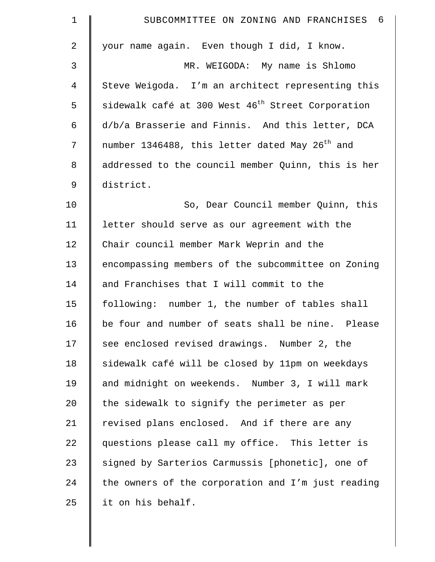| $\mathbf 1$    | SUBCOMMITTEE ON ZONING AND FRANCHISES 6                       |
|----------------|---------------------------------------------------------------|
| $\overline{2}$ | your name again. Even though I did, I know.                   |
| 3              | MR. WEIGODA: My name is Shlomo                                |
| $\overline{4}$ | Steve Weigoda. I'm an architect representing this             |
| 5              | sidewalk café at 300 West 46 <sup>th</sup> Street Corporation |
| 6              | d/b/a Brasserie and Finnis. And this letter, DCA              |
| 7              | number 1346488, this letter dated May 26 <sup>th</sup> and    |
| 8              | addressed to the council member Quinn, this is her            |
| $\mathsf 9$    | district.                                                     |
| 10             | So, Dear Council member Quinn, this                           |
| 11             | letter should serve as our agreement with the                 |
| 12             | Chair council member Mark Weprin and the                      |
| 13             | encompassing members of the subcommittee on Zoning            |
| 14             | and Franchises that I will commit to the                      |
| 15             | following: number 1, the number of tables shall               |
| 16             | be four and number of seats shall be nine. Please             |
| 17             | see enclosed revised drawings. Number 2, the                  |
| 18             | sidewalk café will be closed by 11pm on weekdays              |
| 19             | and midnight on weekends. Number 3, I will mark               |
| 20             | the sidewalk to signify the perimeter as per                  |
| 21             | revised plans enclosed. And if there are any                  |
| 22             | questions please call my office. This letter is               |
| 23             | signed by Sarterios Carmussis [phonetic], one of              |
| 24             | the owners of the corporation and I'm just reading            |
| 25             | it on his behalf.                                             |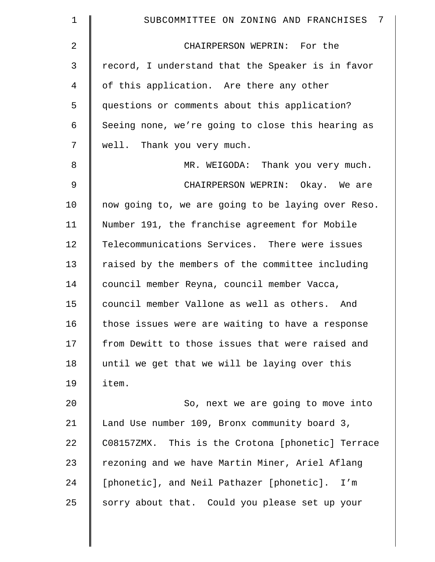| $\mathbf 1$    | 7<br>SUBCOMMITTEE ON ZONING AND FRANCHISES         |
|----------------|----------------------------------------------------|
| $\overline{2}$ | CHAIRPERSON WEPRIN: For the                        |
| 3              | record, I understand that the Speaker is in favor  |
| $\overline{4}$ | of this application. Are there any other           |
| 5              | questions or comments about this application?      |
| 6              | Seeing none, we're going to close this hearing as  |
| 7              | well. Thank you very much.                         |
| 8              | MR. WEIGODA: Thank you very much.                  |
| 9              | CHAIRPERSON WEPRIN: Okay. We are                   |
| 10             | now going to, we are going to be laying over Reso. |
| 11             | Number 191, the franchise agreement for Mobile     |
| 12             | Telecommunications Services. There were issues     |
| 13             | raised by the members of the committee including   |
| 14             | council member Reyna, council member Vacca,        |
| 15             | council member Vallone as well as others. And      |
| 16             | those issues were are waiting to have a response   |
| 17             | from Dewitt to those issues that were raised and   |
| 18             | until we get that we will be laying over this      |
| 19             | item.                                              |
| 20             | So, next we are going to move into                 |
| 21             | Land Use number 109, Bronx community board 3,      |
| 22             | C08157ZMX. This is the Crotona [phonetic] Terrace  |
| 23             | rezoning and we have Martin Miner, Ariel Aflang    |
| 24             | [phonetic], and Neil Pathazer [phonetic]. I'm      |
| 25             | sorry about that. Could you please set up your     |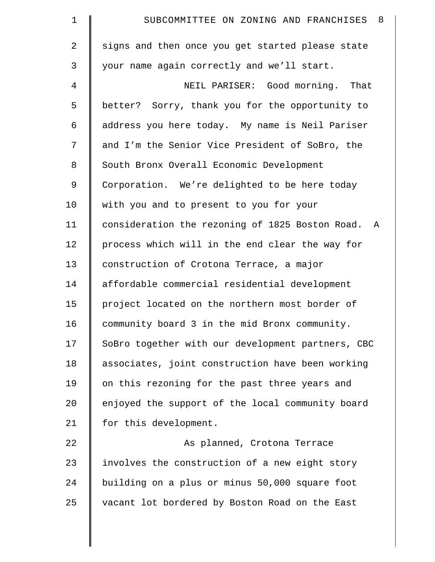| $\mathbf 1$    | SUBCOMMITTEE ON ZONING AND FRANCHISES 8           |
|----------------|---------------------------------------------------|
| $\overline{2}$ | signs and then once you get started please state  |
| 3              | your name again correctly and we'll start.        |
| 4              | NEIL PARISER: Good morning. That                  |
| 5              | better? Sorry, thank you for the opportunity to   |
| 6              | address you here today. My name is Neil Pariser   |
| 7              | and I'm the Senior Vice President of SoBro, the   |
| 8              | South Bronx Overall Economic Development          |
| 9              | Corporation. We're delighted to be here today     |
| 10             | with you and to present to you for your           |
| 11             | consideration the rezoning of 1825 Boston Road. A |
| 12             | process which will in the end clear the way for   |
| 13             | construction of Crotona Terrace, a major          |
| 14             | affordable commercial residential development     |
| 15             | project located on the northern most border of    |
| 16             | community board 3 in the mid Bronx community.     |
| 17             | SoBro together with our development partners, CBC |
| 18             | associates, joint construction have been working  |
| 19             | on this rezoning for the past three years and     |
| 20             | enjoyed the support of the local community board  |
| 21             | for this development.                             |
| 22             | As planned, Crotona Terrace                       |
| 23             | involves the construction of a new eight story    |
| 24             | building on a plus or minus 50,000 square foot    |
| 25             | vacant lot bordered by Boston Road on the East    |
|                |                                                   |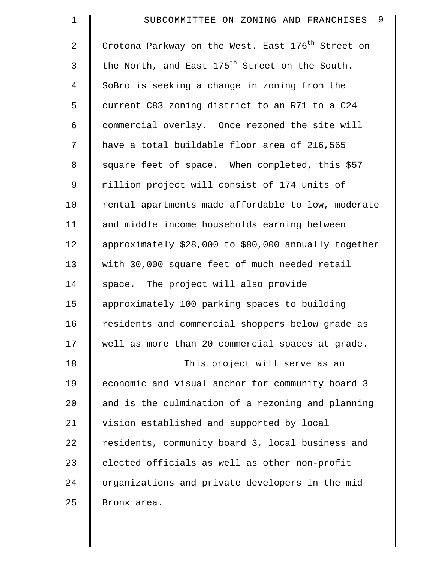| $\mathbf 1$    | 9<br>SUBCOMMITTEE ON ZONING AND FRANCHISES                    |
|----------------|---------------------------------------------------------------|
| $\overline{2}$ | Crotona Parkway on the West. East 176 <sup>th</sup> Street on |
| 3              | the North, and East 175 <sup>th</sup> Street on the South.    |
| $\overline{4}$ | SoBro is seeking a change in zoning from the                  |
| 5              | current C83 zoning district to an R71 to a C24                |
| 6              | commercial overlay. Once rezoned the site will                |
| 7              | have a total buildable floor area of 216,565                  |
| 8              | square feet of space. When completed, this \$57               |
| 9              | million project will consist of 174 units of                  |
| 10             | rental apartments made affordable to low, moderate            |
| 11             | and middle income households earning between                  |
| 12             | approximately \$28,000 to \$80,000 annually together          |
| 13             | with 30,000 square feet of much needed retail                 |
| 14             | space. The project will also provide                          |
| 15             | approximately 100 parking spaces to building                  |
| 16             | residents and commercial shoppers below grade as              |
| 17             | well as more than 20 commercial spaces at grade.              |
| 18             | This project will serve as an                                 |
| 19             | economic and visual anchor for community board 3              |
| 20             | and is the culmination of a rezoning and planning             |
| 21             | vision established and supported by local                     |
| 22             | residents, community board 3, local business and              |
| 23             | elected officials as well as other non-profit                 |
| 24             | organizations and private developers in the mid               |
| 25             | Bronx area.                                                   |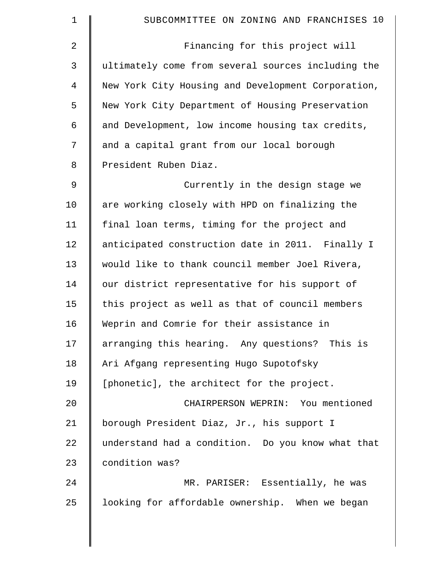| $\mathbf 1$    | SUBCOMMITTEE ON ZONING AND FRANCHISES 10           |
|----------------|----------------------------------------------------|
| $\overline{a}$ | Financing for this project will                    |
| 3              | ultimately come from several sources including the |
| 4              | New York City Housing and Development Corporation, |
| 5              | New York City Department of Housing Preservation   |
| 6              | and Development, low income housing tax credits,   |
| 7              | and a capital grant from our local borough         |
| 8              | President Ruben Diaz.                              |
| 9              | Currently in the design stage we                   |
| 10             | are working closely with HPD on finalizing the     |
| 11             | final loan terms, timing for the project and       |
| 12             | anticipated construction date in 2011. Finally I   |
| 13             | would like to thank council member Joel Rivera,    |
| 14             | our district representative for his support of     |
| 15             | this project as well as that of council members    |
| 16             | Weprin and Comrie for their assistance in          |
| 17             | arranging this hearing. Any questions? This is     |
| 18             | Ari Afgang representing Hugo Supotofsky            |
| 19             | [phonetic], the architect for the project.         |
| 20             | CHAIRPERSON WEPRIN: You mentioned                  |
| 21             | borough President Diaz, Jr., his support I         |
| 22             | understand had a condition. Do you know what that  |
| 23             | condition was?                                     |
| 24             | MR. PARISER: Essentially, he was                   |
| 25             | looking for affordable ownership. When we began    |
|                |                                                    |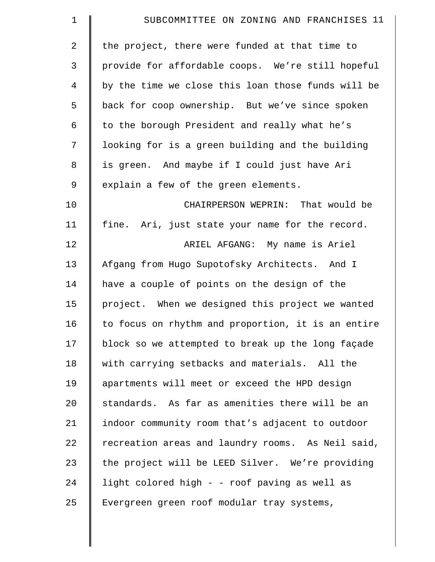| $\mathbf 1$    | SUBCOMMITTEE ON ZONING AND FRANCHISES 11           |
|----------------|----------------------------------------------------|
| $\overline{2}$ | the project, there were funded at that time to     |
| 3              | provide for affordable coops. We're still hopeful  |
| 4              | by the time we close this loan those funds will be |
| 5              | back for coop ownership. But we've since spoken    |
| 6              | to the borough President and really what he's      |
| 7              | looking for is a green building and the building   |
| 8              | is green. And maybe if I could just have Ari       |
| 9              | explain a few of the green elements.               |
| 10             | CHAIRPERSON WEPRIN: That would be                  |
| 11             | fine. Ari, just state your name for the record.    |
| 12             | ARIEL AFGANG: My name is Ariel                     |
| 13             | Afgang from Hugo Supotofsky Architects. And I      |
| 14             | have a couple of points on the design of the       |
| 15             | project. When we designed this project we wanted   |
| 16             | to focus on rhythm and proportion, it is an entire |
| 17             | block so we attempted to break up the long façade  |
| 18             | with carrying setbacks and materials. All the      |
| 19             | apartments will meet or exceed the HPD design      |
| 20             | standards. As far as amenities there will be an    |
| 21             | indoor community room that's adjacent to outdoor   |
| 22             | recreation areas and laundry rooms. As Neil said,  |
| 23             | the project will be LEED Silver. We're providing   |
| 24             | light colored high - - roof paving as well as      |
| 25             | Evergreen green roof modular tray systems,         |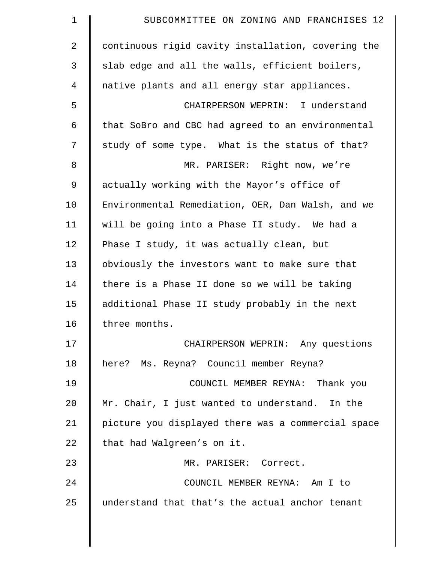| SUBCOMMITTEE ON ZONING AND FRANCHISES 12           |
|----------------------------------------------------|
| continuous rigid cavity installation, covering the |
| slab edge and all the walls, efficient boilers,    |
| native plants and all energy star appliances.      |
| CHAIRPERSON WEPRIN: I understand                   |
| that SoBro and CBC had agreed to an environmental  |
| study of some type. What is the status of that?    |
| MR. PARISER: Right now, we're                      |
| actually working with the Mayor's office of        |
| Environmental Remediation, OER, Dan Walsh, and we  |
| will be going into a Phase II study. We had a      |
| Phase I study, it was actually clean, but          |
| obviously the investors want to make sure that     |
| there is a Phase II done so we will be taking      |
| additional Phase II study probably in the next     |
| three months.                                      |
| CHAIRPERSON WEPRIN: Any questions                  |
| here? Ms. Reyna? Council member Reyna?             |
| COUNCIL MEMBER REYNA: Thank you                    |
| Mr. Chair, I just wanted to understand. In the     |
| picture you displayed there was a commercial space |
| that had Walgreen's on it.                         |
| MR. PARISER: Correct.                              |
| COUNCIL MEMBER REYNA: Am I to                      |
| understand that that's the actual anchor tenant    |
|                                                    |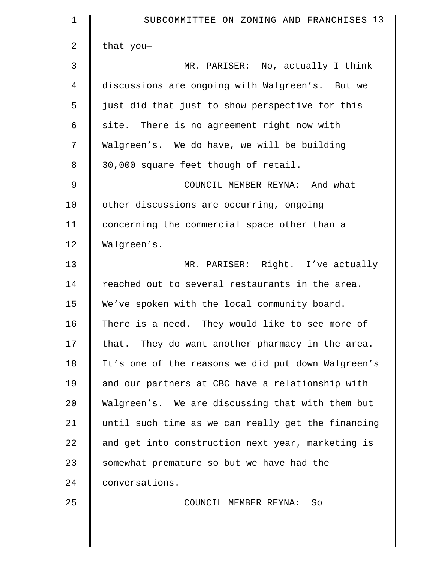| $\mathbf 1$    | SUBCOMMITTEE ON ZONING AND FRANCHISES 13           |
|----------------|----------------------------------------------------|
| $\overline{2}$ | that you-                                          |
| 3              | MR. PARISER: No, actually I think                  |
| 4              | discussions are ongoing with Walgreen's. But we    |
| 5              | just did that just to show perspective for this    |
| 6              | site. There is no agreement right now with         |
| 7              | Walgreen's. We do have, we will be building        |
| 8              | 30,000 square feet though of retail.               |
| 9              | COUNCIL MEMBER REYNA: And what                     |
| 10             | other discussions are occurring, ongoing           |
| 11             | concerning the commercial space other than a       |
| 12             | Walgreen's.                                        |
| 13             | MR. PARISER: Right. I've actually                  |
| 14             | reached out to several restaurants in the area.    |
| 15             | We've spoken with the local community board.       |
| 16             | There is a need. They would like to see more of    |
| 17             | that. They do want another pharmacy in the area.   |
| 18             | It's one of the reasons we did put down Walgreen's |
| 19             | and our partners at CBC have a relationship with   |
| 20             | Walgreen's. We are discussing that with them but   |
| 21             | until such time as we can really get the financing |
| 22             | and get into construction next year, marketing is  |
| 23             | somewhat premature so but we have had the          |
| 24             | conversations.                                     |
| 25             | COUNCIL MEMBER REYNA:<br>So                        |
|                |                                                    |
|                |                                                    |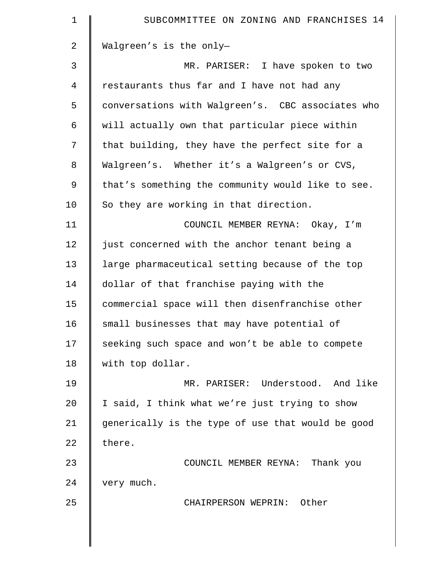| 1  | SUBCOMMITTEE ON ZONING AND FRANCHISES 14          |
|----|---------------------------------------------------|
| 2  | Walgreen's is the only-                           |
| 3  | MR. PARISER: I have spoken to two                 |
| 4  | restaurants thus far and I have not had any       |
| 5  | conversations with Walgreen's. CBC associates who |
| 6  | will actually own that particular piece within    |
| 7  | that building, they have the perfect site for a   |
| 8  | Walgreen's. Whether it's a Walgreen's or CVS,     |
| 9  | that's something the community would like to see. |
| 10 | So they are working in that direction.            |
| 11 | COUNCIL MEMBER REYNA: Okay, I'm                   |
| 12 | just concerned with the anchor tenant being a     |
| 13 | large pharmaceutical setting because of the top   |
| 14 | dollar of that franchise paying with the          |
| 15 | commercial space will then disenfranchise other   |
| 16 | small businesses that may have potential of       |
| 17 | seeking such space and won't be able to compete   |
| 18 | with top dollar.                                  |
| 19 | MR. PARISER: Understood. And like                 |
| 20 | I said, I think what we're just trying to show    |
| 21 | generically is the type of use that would be good |
| 22 | there.                                            |
| 23 | COUNCIL MEMBER REYNA: Thank you                   |
| 24 | very much.                                        |
| 25 | CHAIRPERSON WEPRIN: Other                         |
|    |                                                   |
|    |                                                   |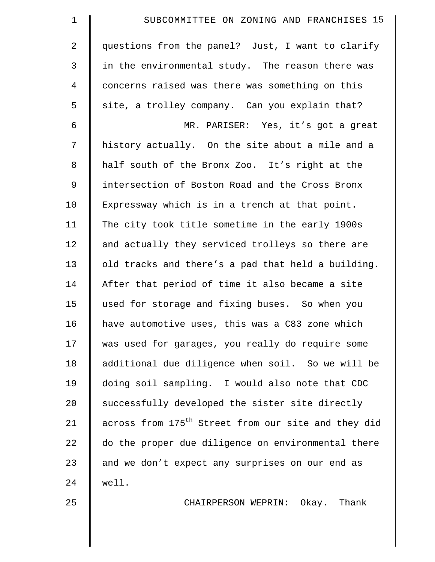| $\mathbf 1$    | SUBCOMMITTEE ON ZONING AND FRANCHISES 15                        |
|----------------|-----------------------------------------------------------------|
| $\overline{a}$ | questions from the panel? Just, I want to clarify               |
| 3              | in the environmental study. The reason there was                |
| $\overline{4}$ | concerns raised was there was something on this                 |
| 5              | site, a trolley company. Can you explain that?                  |
| 6              | MR. PARISER: Yes, it's got a great                              |
| 7              | history actually. On the site about a mile and a                |
| 8              | half south of the Bronx Zoo. It's right at the                  |
| 9              | intersection of Boston Road and the Cross Bronx                 |
| 10             | Expressway which is in a trench at that point.                  |
| 11             | The city took title sometime in the early 1900s                 |
| 12             | and actually they serviced trolleys so there are                |
| 13             | old tracks and there's a pad that held a building.              |
| 14             | After that period of time it also became a site                 |
| 15             | used for storage and fixing buses. So when you                  |
| 16             | have automotive uses, this was a C83 zone which                 |
| 17             | was used for garages, you really do require some                |
| 18             | additional due diligence when soil. So we will be               |
| 19             | doing soil sampling. I would also note that CDC                 |
| 20             | successfully developed the sister site directly                 |
| 21             | across from 175 <sup>th</sup> Street from our site and they did |
| 22             | do the proper due diligence on environmental there              |
| 23             | and we don't expect any surprises on our end as                 |
| 24             | well.                                                           |
| 25             | CHAIRPERSON WEPRIN: Okay. Thank                                 |
|                |                                                                 |
|                |                                                                 |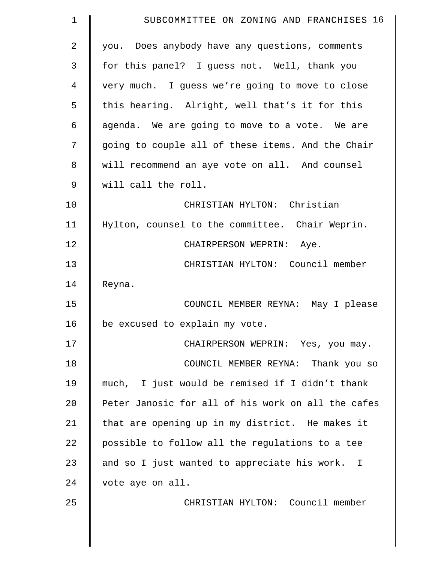| $\mathbf 1$ | SUBCOMMITTEE ON ZONING AND FRANCHISES 16           |
|-------------|----------------------------------------------------|
| 2           | you. Does anybody have any questions, comments     |
| 3           | for this panel? I guess not. Well, thank you       |
| 4           | very much. I guess we're going to move to close    |
| 5           | this hearing. Alright, well that's it for this     |
| 6           | agenda. We are going to move to a vote. We are     |
| 7           | going to couple all of these items. And the Chair  |
| 8           | will recommend an aye vote on all. And counsel     |
| $\mathsf 9$ | will call the roll.                                |
| 10          | CHRISTIAN HYLTON: Christian                        |
| 11          | Hylton, counsel to the committee. Chair Weprin.    |
| 12          | CHAIRPERSON WEPRIN: Aye.                           |
| 13          | CHRISTIAN HYLTON: Council member                   |
| 14          | Reyna.                                             |
| 15          | COUNCIL MEMBER REYNA: May I please                 |
| 16          | be excused to explain my vote.                     |
| 17          | CHAIRPERSON WEPRIN: Yes, you may.                  |
| 18          | COUNCIL MEMBER REYNA: Thank you so                 |
| 19          | much, I just would be remised if I didn't thank    |
| 20          | Peter Janosic for all of his work on all the cafes |
| 21          | that are opening up in my district. He makes it    |
| 22          | possible to follow all the regulations to a tee    |
| 23          | and so I just wanted to appreciate his work. I     |
| 24          | vote aye on all.                                   |
| 25          | CHRISTIAN HYLTON: Council member                   |
|             |                                                    |
|             |                                                    |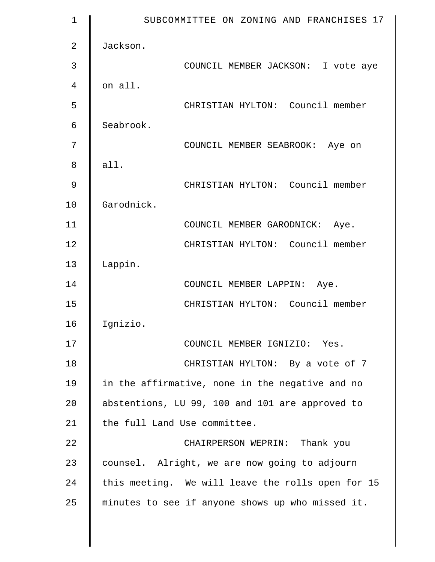| 1              | SUBCOMMITTEE ON ZONING AND FRANCHISES 17          |
|----------------|---------------------------------------------------|
| $\overline{2}$ | Jackson.                                          |
| 3              | COUNCIL MEMBER JACKSON: I vote aye                |
| 4              | on all.                                           |
| 5              | CHRISTIAN HYLTON: Council member                  |
| 6              | Seabrook.                                         |
| 7              | COUNCIL MEMBER SEABROOK: Aye on                   |
| 8              | all.                                              |
| 9              | CHRISTIAN HYLTON: Council member                  |
| 10             | Garodnick.                                        |
| 11             | COUNCIL MEMBER GARODNICK:<br>Aye.                 |
| 12             | CHRISTIAN HYLTON: Council member                  |
| 13             | Lappin.                                           |
| 14             | COUNCIL MEMBER LAPPIN: Aye.                       |
| 15             | CHRISTIAN HYLTON: Council member                  |
| 16             | Ignizio.                                          |
| 17             | COUNCIL MEMBER IGNIZIO: Yes.                      |
| 18             | CHRISTIAN HYLTON: By a vote of 7                  |
| 19             | in the affirmative, none in the negative and no   |
| 20             | abstentions, LU 99, 100 and 101 are approved to   |
| 21             | the full Land Use committee.                      |
| 22             | CHAIRPERSON WEPRIN: Thank you                     |
| 23             | counsel. Alright, we are now going to adjourn     |
| 24             | this meeting. We will leave the rolls open for 15 |
| 25             | minutes to see if anyone shows up who missed it.  |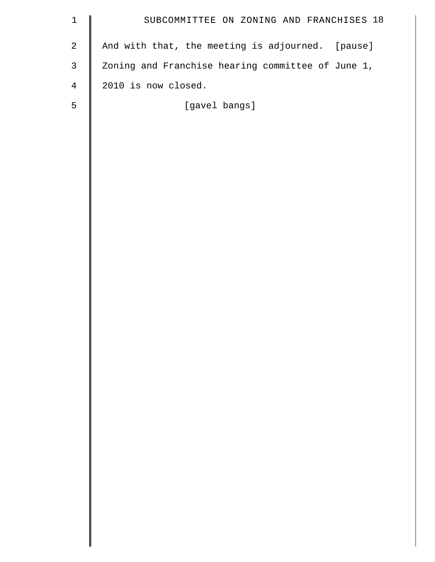| $\mathbf 1$    | SUBCOMMITTEE ON ZONING AND FRANCHISES 18          |
|----------------|---------------------------------------------------|
| $\sqrt{2}$     | And with that, the meeting is adjourned. [pause]  |
| $\mathsf{3}$   | Zoning and Franchise hearing committee of June 1, |
| $\overline{4}$ | 2010 is now closed.                               |
| 5              | [gavel bangs]                                     |
|                |                                                   |
|                |                                                   |
|                |                                                   |
|                |                                                   |
|                |                                                   |
|                |                                                   |
|                |                                                   |
|                |                                                   |
|                |                                                   |
|                |                                                   |
|                |                                                   |
|                |                                                   |
|                |                                                   |
|                |                                                   |
|                |                                                   |
|                |                                                   |
|                |                                                   |
|                |                                                   |
|                |                                                   |
|                |                                                   |
|                |                                                   |
|                |                                                   |